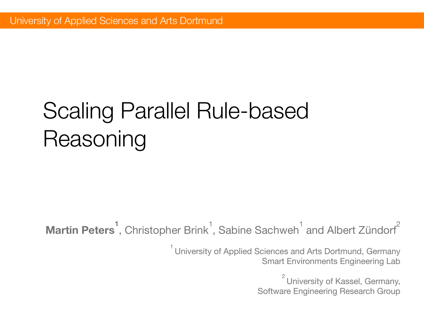# Scaling Parallel Rule-based Reasoning

**Martin Peters<sup>1</sup>**, Christopher Brink<sup>1</sup>, Sabine Sachweh<sup>1</sup> and Albert Zündorf<sup>2</sup>

 $1$  University of Applied Sciences and Arts Dortmund, Germany Smart Environments Engineering Lab

> $2$  University of Kassel, Germany, Software Engineering Research Group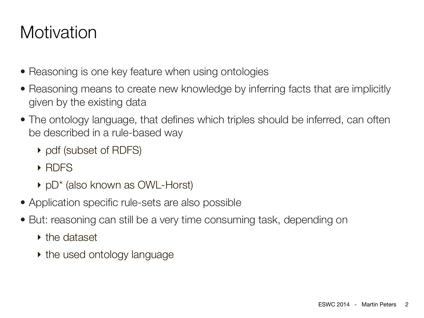## **Motivation**

- Reasoning is one key feature when using ontologies
- Reasoning means to create new knowledge by inferring facts that are implicitly given by the existing data
- The ontology language, that defines which triples should be inferred, can often be described in a rule-based way
	- ‣ ρdf (subset of RDFS)
	- ‣ RDFS
	- ‣ pD\* (also known as OWL-Horst)
- Application specific rule-sets are also possible
- But: reasoning can still be a very time consuming task, depending on
	- ‣ the dataset
	- ‣ the used ontology language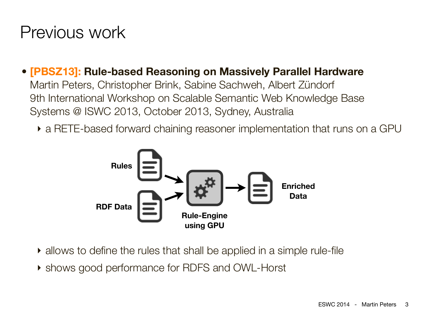### Previous work

#### • **[PBSZ13]: Rule-based Reasoning on Massively Parallel Hardware**

Martin Peters, Christopher Brink, Sabine Sachweh, Albert Zündorf 9th International Workshop on Scalable Semantic Web Knowledge Base Systems @ ISWC 2013, October 2013, Sydney, Australia

‣ a RETE-based forward chaining reasoner implementation that runs on a GPU



- ‣ allows to define the rules that shall be applied in a simple rule-file
- ‣ shows good performance for RDFS and OWL-Horst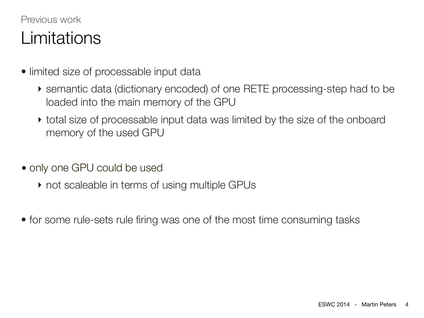### Previous work Limitations

- limited size of processable input data
	- ‣ semantic data (dictionary encoded) of one RETE processing-step had to be loaded into the main memory of the GPU
	- ‣ total size of processable input data was limited by the size of the onboard memory of the used GPU
- only one GPU could be used
	- ‣ not scaleable in terms of using multiple GPUs
- for some rule-sets rule firing was one of the most time consuming tasks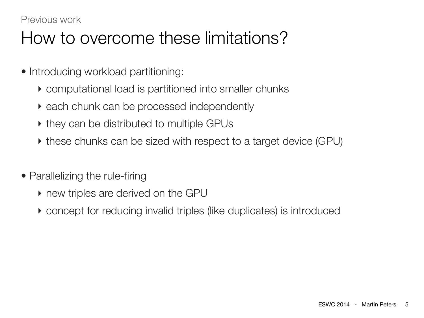#### Previous work

### How to overcome these limitations?

- Introducing workload partitioning:
	- ‣ computational load is partitioned into smaller chunks
	- ‣ each chunk can be processed independently
	- ‣ they can be distributed to multiple GPUs
	- ‣ these chunks can be sized with respect to a target device (GPU)
- Parallelizing the rule-firing
	- ‣ new triples are derived on the GPU
	- ‣ concept for reducing invalid triples (like duplicates) is introduced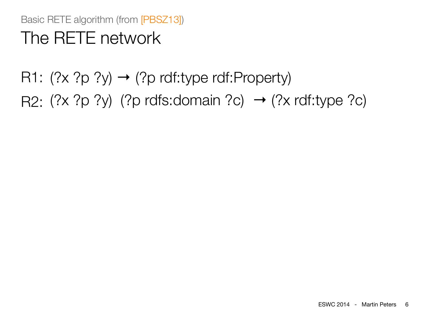Basic RETE algorithm (from [PBSZ13]) The RETE network

R1:  $(?x ?p ?y) \rightarrow (?p rdf:type rdf:Property)$ 

R2:  $(?x ?p ?y)$   $(?p rdfs:domain ?c) \rightarrow (?x rdf:type ?c)$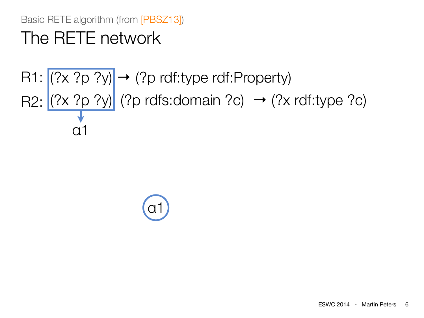### The RETE network

# $R1: \left| (? \times ? \rho ? y) \right| \rightarrow (? \rho \text{ rdf:type rdf:Property})$ R2:  $(?x ?p ?y)$  (?p rdfs:domain ?c)  $\rightarrow$  (?x rdf:type ?c) α1

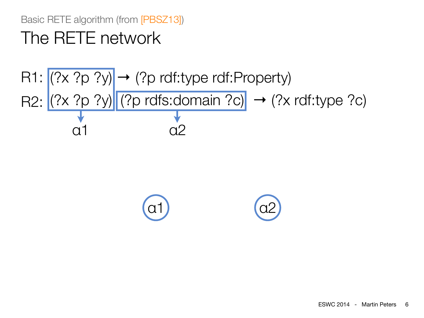### The RETE network

# $R1: \left| (? \times ? \rho ? y) \right| \rightarrow (? \rho \text{ rdf:type rdf:Property})$ R2:  $(?x ?p ?y)$  (?p rdfs:domain ?c)  $\rightarrow$  (?x rdf:type ?c) α1 α2

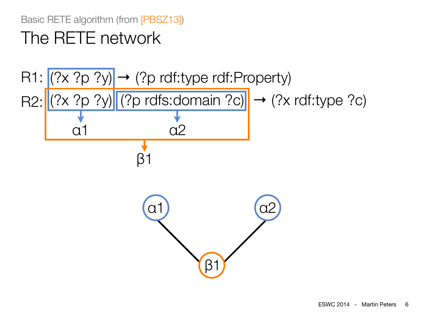### The RETE network

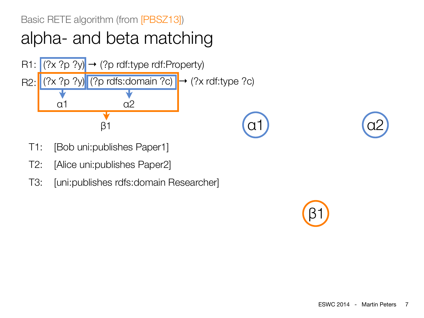

- T1: [Bob uni:publishes Paper1]
- T2: [Alice uni:publishes Paper2]
- T3: [uni:publishes rdfs:domain Researcher]

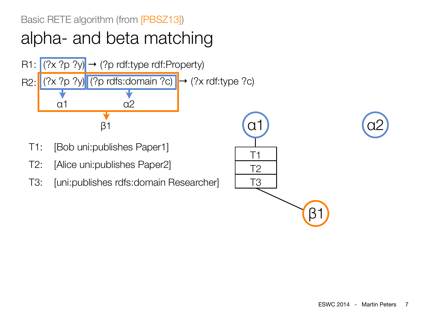

- T1: [Bob uni:publishes Paper1]
- T2: [Alice uni:publishes Paper2]
- T3: [uni:publishes rdfs:domain Researcher]

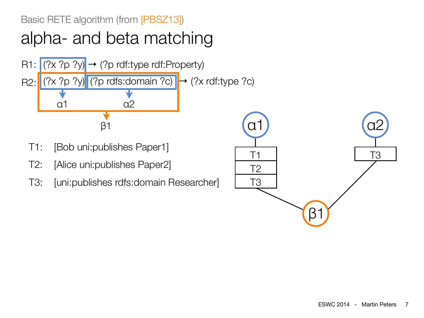

- T1: [Bob uni:publishes Paper1]
- T2: [Alice uni:publishes Paper2]
- T3: [uni:publishes rdfs:domain Researcher]

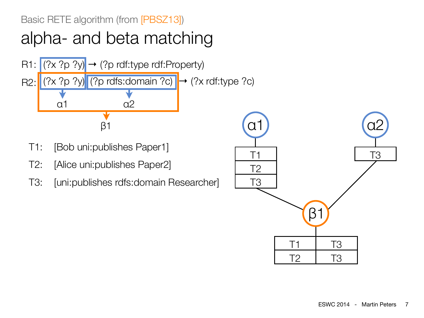

- T1: [Bob uni:publishes Paper1]
- T2: [Alice uni:publishes Paper2]
- T3: [uni:publishes rdfs:domain Researcher]

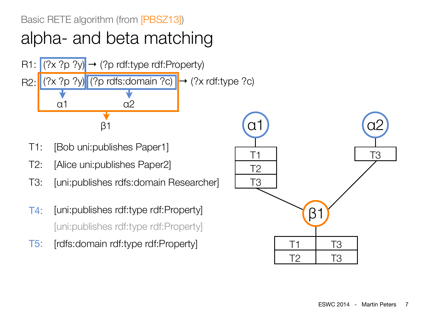

- T1: [Bob uni:publishes Paper1]
- T2: [Alice uni:publishes Paper2]
- T3: [uni:publishes rdfs:domain Researcher]
- T4: [uni:publishes rdf:type rdf:Property] [uni:publishes rdf:type rdf:Property]
- T5: [rdfs:domain rdf:type rdf:Property]

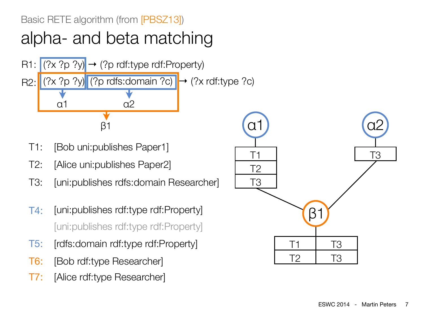

- T1: [Bob uni:publishes Paper1]
- T2: [Alice uni:publishes Paper2]
- T3: [uni:publishes rdfs:domain Researcher]
- T4: [uni:publishes rdf:type rdf:Property] [uni:publishes rdf:type rdf:Property]
- T5: [rdfs:domain rdf:type rdf:Property]
- T6: [Bob rdf:type Researcher]
- T7: [Alice rdf:type Researcher]

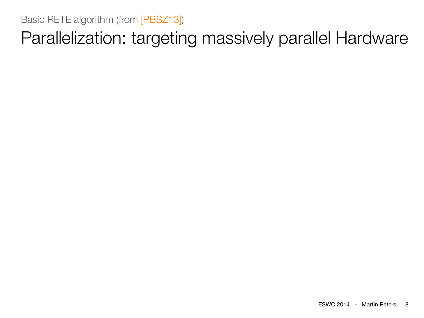Parallelization: targeting massively parallel Hardware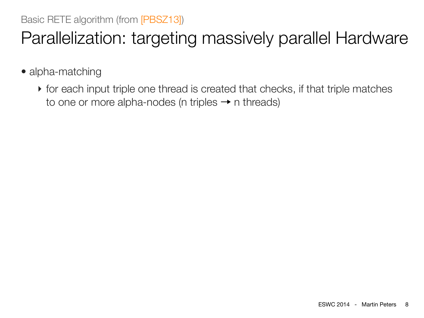# Parallelization: targeting massively parallel Hardware

- alpha-matching
	- ‣ for each input triple one thread is created that checks, if that triple matches to one or more alpha-nodes (n triples  $\rightarrow$  n threads)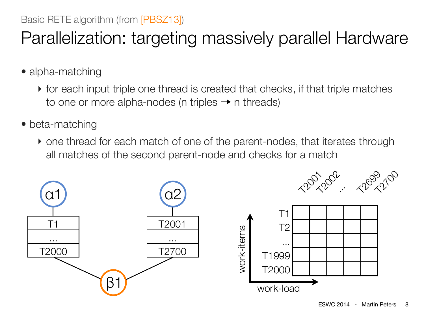# Parallelization: targeting massively parallel Hardware

- alpha-matching
	- ‣ for each input triple one thread is created that checks, if that triple matches to one or more alpha-nodes (n triples  $\rightarrow$  n threads)
- beta-matching
	- ‣ one thread for each match of one of the parent-nodes, that iterates through all matches of the second parent-node and checks for a match

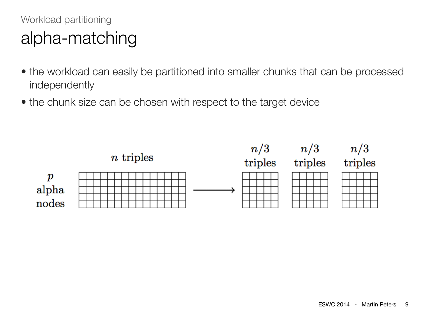### Workload partitioning alpha-matching

- the workload can easily be partitioned into smaller chunks that can be processed independently
- the chunk size can be chosen with respect to the target device

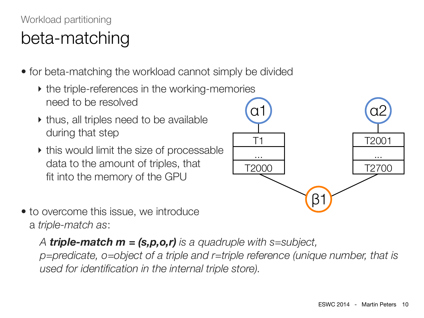### Workload partitioning beta-matching

- for beta-matching the workload cannot simply be divided
	- ‣ the triple-references in the working-memories need to be resolved
	- ‣ thus, all triples need to be available during that step
	- ‣ this would limit the size of processable data to the amount of triples, that fit into the memory of the GPU



• to overcome this issue, we introduce a *triple-match as*:

*A triple-match m = (s,p,o,r) is a quadruple with s=subject,* 

*p=predicate, o=object of a triple and r=triple reference (unique number, that is used for identification in the internal triple store).*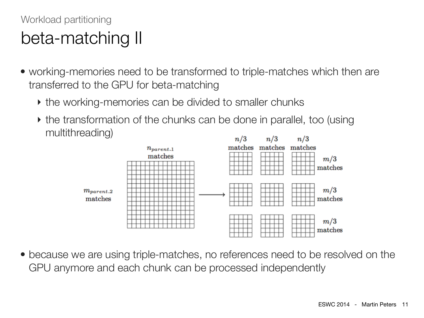### Workload partitioning beta-matching II

- working-memories need to be transformed to triple-matches which then are transferred to the GPU for beta-matching
	- ‣ the working-memories can be divided to smaller chunks
	- ‣ the transformation of the chunks can be done in parallel, too (using multithreading)



• because we are using triple-matches, no references need to be resolved on the GPU anymore and each chunk can be processed independently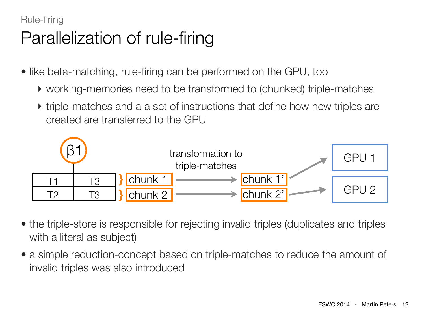#### Rule-firing

# Parallelization of rule-firing

- like beta-matching, rule-firing can be performed on the GPU, too
	- ‣ working-memories need to be transformed to (chunked) triple-matches
	- ‣ triple-matches and a a set of instructions that define how new triples are created are transferred to the GPU



- the triple-store is responsible for rejecting invalid triples (duplicates and triples with a literal as subject)
- a simple reduction-concept based on triple-matches to reduce the amount of invalid triples was also introduced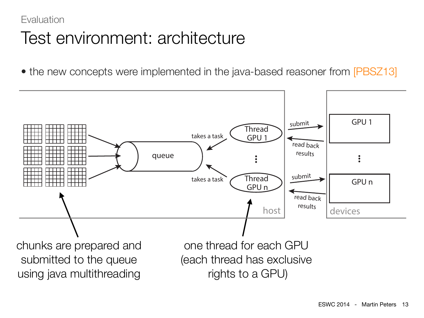### **Evaluation** Test environment: architecture

• the new concepts were implemented in the java-based reasoner from [PBSZ13]

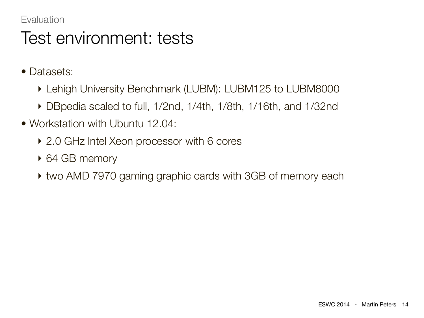#### **Evaluation**

### Test environment: tests

- Datasets:
	- ‣ Lehigh University Benchmark (LUBM): LUBM125 to LUBM8000
	- ‣ DBpedia scaled to full, 1/2nd, 1/4th, 1/8th, 1/16th, and 1/32nd
- Workstation with Ubuntu 12.04:
	- ‣ 2.0 GHz Intel Xeon processor with 6 cores
	- ‣ 64 GB memory
	- ‣ two AMD 7970 gaming graphic cards with 3GB of memory each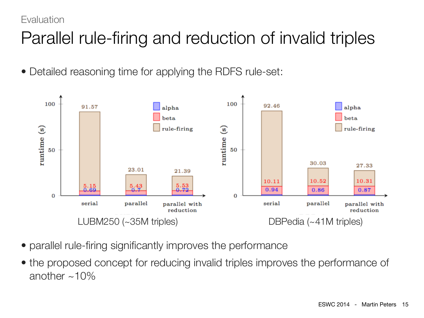#### **Evaluation**

# Parallel rule-firing and reduction of invalid triples

• Detailed reasoning time for applying the RDFS rule-set:



- parallel rule-firing significantly improves the performance
- the proposed concept for reducing invalid triples improves the performance of another  $~10\%$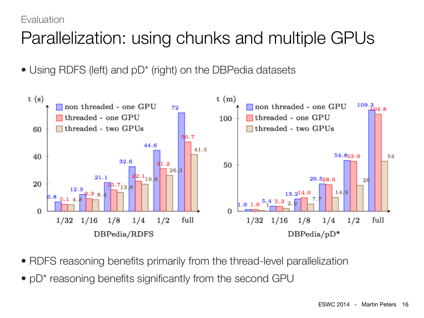#### **Evaluation**

# Parallelization: using chunks and multiple GPUs

• Using RDFS (left) and  $pD^*$  (right) on the DBPedia datasets



- RDFS reasoning benefits primarily from the thread-level parallelization
- pD<sup>\*</sup> reasoning benefits significantly from the second GPU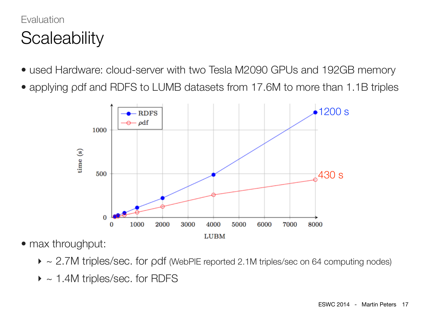### **Evaluation Scaleability**

- used Hardware: cloud-server with two Tesla M2090 GPUs and 192GB memory
- applying pdf and RDFS to LUMB datasets from 17.6M to more than 1.1B triples



- max throughput:
	- $\triangleright \sim 2.7$ M triples/sec. for pdf (WebPIE reported 2.1M triples/sec on 64 computing nodes)
	- $\blacktriangleright$  ~ 1.4M triples/sec. for RDFS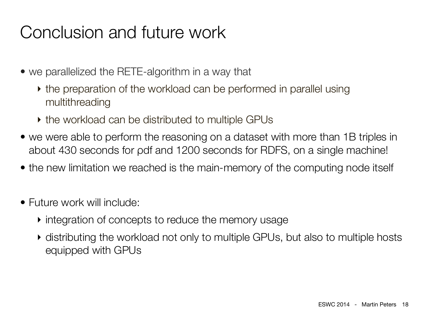### Conclusion and future work

- we parallelized the RETE-algorithm in a way that
	- the preparation of the workload can be performed in parallel using multithreading
	- ‣ the workload can be distributed to multiple GPUs
- we were able to perform the reasoning on a dataset with more than 1B triples in about 430 seconds for ρdf and 1200 seconds for RDFS, on a single machine!
- the new limitation we reached is the main-memory of the computing node itself
- Future work will include:
	- ‣ integration of concepts to reduce the memory usage
	- ‣ distributing the workload not only to multiple GPUs, but also to multiple hosts equipped with GPUs